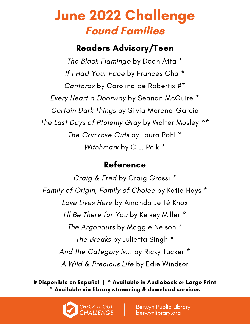# June 2022 Challenge **Found Families**

### Readers Advisory/Teen

The Black Flamingo by Dean Atta \* If I Had Your Face by Frances Cha \* Cantoras by Carolina de Robertis #\* Every Heart a Doorway by Seanan McGuire \* Certain Dark Things by Silvia Moreno-Garcia The Last Days of Ptolemy Gray by Walter Mosley ^\* The Grimrose Girls by Laura Pohl \* Witchmark by C.L. Polk \*

#### Reference

Craig & Fred by Craig Grossi \* Family of Origin, Family of Choice by Katie Hays \* Love Lives Here by Amanda Jetté Knox I'll Be There for You by Kelsey Miller \* The Argonauts by Maggie Nelson \* The Breaks by Julietta Singh \* And the Category Is... by Ricky Tucker \* A Wild & Precious Life by Edie Windsor

# Disponible en Español | ^ Available in Audiobook or Large Print \* Available via library streaming & download services



Berwyn Public Library berwynlibrary.org